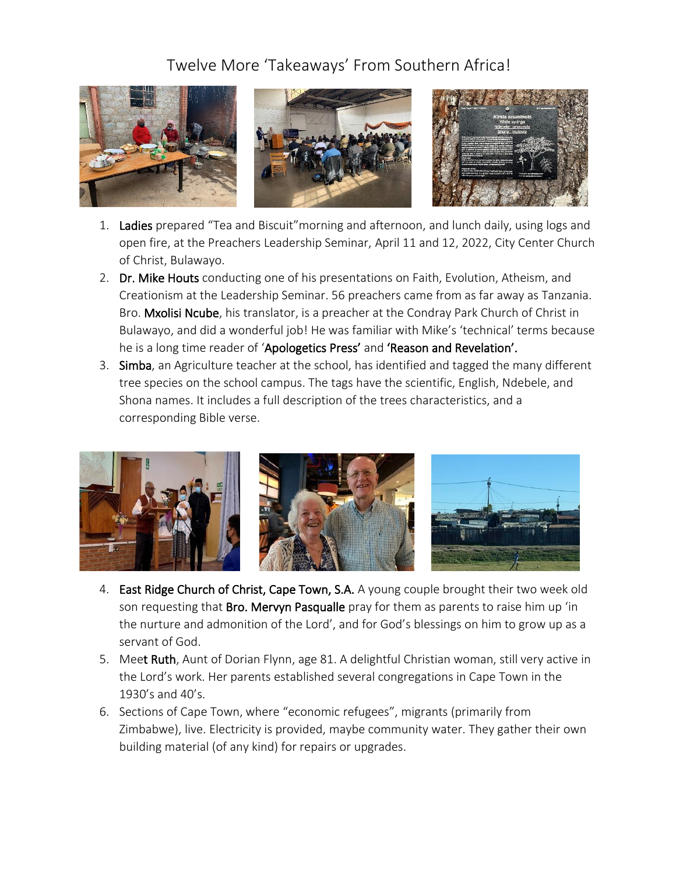## Twelve More 'Takeaways' From Southern Africa!



- 1. Ladies prepared "Tea and Biscuit" morning and afternoon, and lunch daily, using logs and open fire, at the Preachers Leadership Seminar, April 11 and 12, 2022, City Center Church of Christ, Bulawayo.
- 2. Dr. Mike Houts conducting one of his presentations on Faith, Evolution, Atheism, and Creationism at the Leadership Seminar. 56 preachers came from as far away as Tanzania. Bro. Mxolisi Ncube, his translator, is a preacher at the Condray Park Church of Christ in Bulawayo, and did a wonderful job! He was familiar with Mike's 'technical' terms because he is a long time reader of 'Apologetics Press' and 'Reason and Revelation'.
- 3. Simba, an Agriculture teacher at the school, has identified and tagged the many different tree species on the school campus. The tags have the scientific, English, Ndebele, and Shona names. It includes a full description of the trees characteristics, and a corresponding Bible verse.



- 4. East Ridge Church of Christ, Cape Town, S.A. A young couple brought their two week old son requesting that Bro. Mervyn Pasqualle pray for them as parents to raise him up 'in the nurture and admonition of the Lord', and for God's blessings on him to grow up as a servant of God.
- 5. Meet Ruth, Aunt of Dorian Flynn, age 81. A delightful Christian woman, still very active in the Lord's work. Her parents established several congregations in Cape Town in the 1930's and 40's.
- 6. Sections of Cape Town, where "economic refugees", migrants (primarily from Zimbabwe), live. Electricity is provided, maybe community water. They gather their own building material (of any kind) for repairs or upgrades.